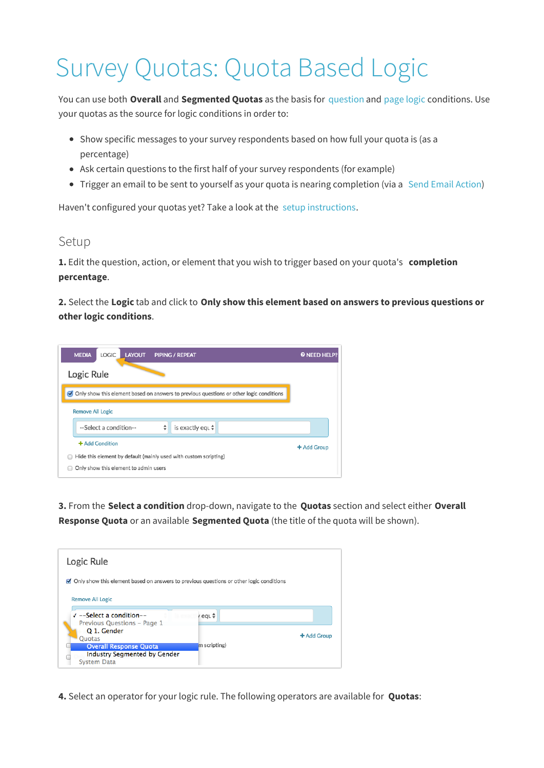## Survey Quotas: Quota Based Logic

You can use both **Overall** and **Segmented Quotas** as the basis for question and page logic conditions. Use your quotas as the source for logic conditions in order to:

- Show specific messages to your survey respondents based on how full your quota is (as a percentage)
- Ask certain questions to the first half of your survey respondents (for example)
- Trigger an email to be sent to yourself as your quota is nearing completion (via a Send Email Action)

Haven't configured your quotas yet? Take a look at the setup instructions.

## Setup

**1.** Edit the question, action, or element that you wish to trigger based on your quota's **completion percentage**.

**2.** Select the **Logic** tab and click to **Only show this element based on answers to previous questions or other logic conditions**.



**3.** From the **Select a condition** drop-down, navigate to the **Quotas** section and select either **Overall Response Quota** or an available **Segmented Quota** (the title of the quota will be shown).

| Logic Rule                                                                                                          |              |             |
|---------------------------------------------------------------------------------------------------------------------|--------------|-------------|
| $\Box$ Only show this element based on answers to previous questions or other logic conditions                      |              |             |
| <b>Remove All Logic</b><br>$\sqrt{-}$ -Select a condition--<br>Previous Questions - Page 1                          | / equ ≑      |             |
| Q 1. Gender<br>Quotas<br><b>Overall Response Quota</b><br><b>Industry Segmented by Gender</b><br><b>System Data</b> | m scripting) | + Add Group |

**4.** Select an operator for your logic rule. The following operators are available for **Quotas**: